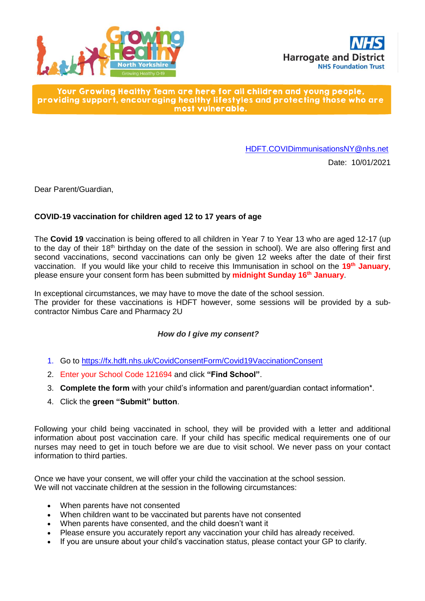



Your Growing Healthy Team are here for all children and young people, providing support, encouraging healthy lifestyles and protecting those who are most vulnerable.

[HDFT.COVIDimmunisationsNY@nhs.net](mailto:HDFT.COVIDimmunisationsNY@nhs.net)

Date: 10/01/2021

Dear Parent/Guardian,

# **COVID-19 vaccination for children aged 12 to 17 years of age**

The **Covid 19** vaccination is being offered to all children in Year 7 to Year 13 who are aged 12-17 (up to the day of their 18<sup>th</sup> birthday on the date of the session in school). We are also offering first and second vaccinations, second vaccinations can only be given 12 weeks after the date of their first vaccination. If you would like your child to receive this Immunisation in school on the **19 th January**, please ensure your consent form has been submitted by **midnight Sunday 16 th January**.

In exceptional circumstances, we may have to move the date of the school session. The provider for these vaccinations is HDFT however, some sessions will be provided by a subcontractor Nimbus Care and Pharmacy 2U

# *How do I give my consent?*

- 1. Go to<https://fx.hdft.nhs.uk/CovidConsentForm/Covid19VaccinationConsent>
- 2. Enter your School Code 121694 and click **"Find School"**.
- 3. **Complete the form** with your child's information and parent/guardian contact information\*.
- 4. Click the **green "Submit" button**.

Following your child being vaccinated in school, they will be provided with a letter and additional information about post vaccination care. If your child has specific medical requirements one of our nurses may need to get in touch before we are due to visit school. We never pass on your contact information to third parties.

Once we have your consent, we will offer your child the vaccination at the school session. We will not vaccinate children at the session in the following circumstances:

- When parents have not consented
- When children want to be vaccinated but parents have not consented
- When parents have consented, and the child doesn't want it
- Please ensure you accurately report any vaccination your child has already received.
- If you are unsure about your child's vaccination status, please contact your GP to clarify.